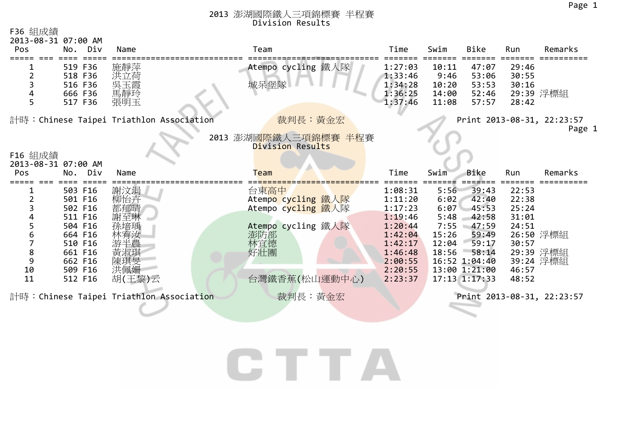1

#### 2013 澎湖國際鐵人三項錦標賽 半程賽 Division Results

| F36 組成績<br>2013-08-31 07:00 AM |                                                                                                                       |                                                                |                                                                                                              |                                                                                                                       |                                                                 |                                                                                                                            |                                                                      |                                     |
|--------------------------------|-----------------------------------------------------------------------------------------------------------------------|----------------------------------------------------------------|--------------------------------------------------------------------------------------------------------------|-----------------------------------------------------------------------------------------------------------------------|-----------------------------------------------------------------|----------------------------------------------------------------------------------------------------------------------------|----------------------------------------------------------------------|-------------------------------------|
| Pos                            | No. Div                                                                                                               | Name                                                           | Team                                                                                                         | Time                                                                                                                  | Swim                                                            | <b>Bike</b>                                                                                                                | Run                                                                  | Remarks                             |
| 5                              | 519 F36<br>518 F36<br>516 F36<br>666 F36<br>517 F36                                                                   | 施靜萍<br>洪立荷<br>吳玉霞<br>馬靜玲<br>張明玉                                | Atempo cycling 鐵人隊<br>城呆堡隊                                                                                   | 1:27:03<br>1:33:46<br>1:34:28<br>1:36:25<br>1:37:46                                                                   | 10:11<br>9:46<br>10:20<br>14:00<br>11:08                        | 47:07<br>53:06<br>53:53<br>52:46<br>57:57                                                                                  | 29:46<br>30:55<br>30:16<br>28:42                                     | 29:39 浮標組                           |
|                                |                                                                                                                       | 計時:Chinese Taipei Triathlon Association                        | 裁判長:黃金宏                                                                                                      |                                                                                                                       |                                                                 |                                                                                                                            |                                                                      | Print 2013-08-31, 22:23:57          |
|                                |                                                                                                                       |                                                                |                                                                                                              |                                                                                                                       |                                                                 |                                                                                                                            |                                                                      | Page                                |
| F16 組成績                        |                                                                                                                       |                                                                | 2013 澎湖國際鐵人三項錦標賽 半程賽<br>Division Results                                                                     |                                                                                                                       |                                                                 |                                                                                                                            |                                                                      |                                     |
| 2013-08-31 07:00 AM<br>Pos     | No. Div                                                                                                               | Name                                                           | <b>Team</b>                                                                                                  | Time                                                                                                                  | Swim                                                            | Bike                                                                                                                       | Run                                                                  | Remarks                             |
|                                |                                                                                                                       |                                                                |                                                                                                              |                                                                                                                       |                                                                 |                                                                                                                            |                                                                      |                                     |
| 6<br>8<br>9<br>10<br>11        | 503 F16<br>501 F16<br>502 F16<br>511 F16<br>504 F16<br>664 F16<br>510 F16<br>661 F16<br>662 F16<br>509 F16<br>512 F16 | 謝汶涓<br>柳怡卉<br>都郁晴<br>謝至琳<br>孫培瑀<br>游半農<br>陳琪旻<br>洪佩姗<br>胡(王黎)云 | 台東高中<br>Atempo cycling 鐵人隊<br>Atempo cycling 鐵人隊<br>Atempo cycling 鐵人隊<br>澎防部<br>林宜德<br>好壯團<br>台灣鐵香蕉(松山運動中心) | 1:08:31<br>1:11:20<br>1:17:23<br>1:19:46<br>1:20:44<br>1:42:04<br>1:42:17<br>1:46:48<br>2:00:55<br>2:20:55<br>2:23:37 | 5:56<br>6:02<br>6:07<br>5:48<br>7:55<br>15:26<br>12:04<br>18:56 | 39:43<br>42:40<br>45:53<br>42:58<br>$-47:59$<br>59:49<br>59:17<br>58:14<br>16:52 1:04:40<br>13:00 1:21:00<br>17:13 1:17:33 | 22:53<br>22:38<br>25:24<br>31:01<br>24:51<br>30:57<br>46:57<br>48:52 | 26:50 浮標組<br>29:39 浮標組<br>39:24 浮標組 |
|                                |                                                                                                                       | 計時:Chinese Taipei Triathlon Association                        | 裁判長:黃金宏                                                                                                      |                                                                                                                       |                                                                 |                                                                                                                            |                                                                      | Print 2013-08-31, 22:23:57          |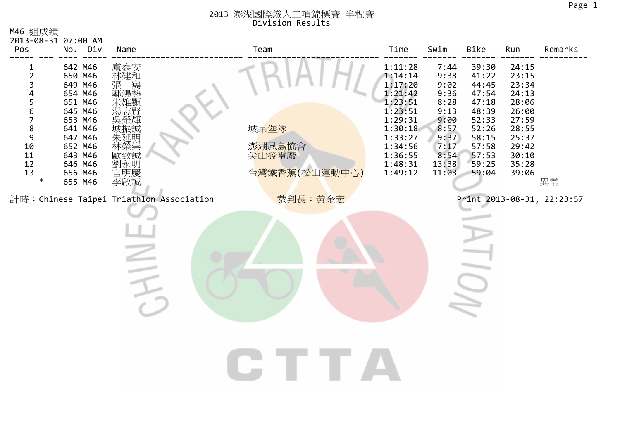| M46 組成績<br>2013-08-31 07:00 AM                                                                                                        |                                                                                                                                                        |                                                                                                                                                       |                                          |                                                                                                                                             |                                                                                                        |                                                                                                                   |                                                                                                                   |                            |
|---------------------------------------------------------------------------------------------------------------------------------------|--------------------------------------------------------------------------------------------------------------------------------------------------------|-------------------------------------------------------------------------------------------------------------------------------------------------------|------------------------------------------|---------------------------------------------------------------------------------------------------------------------------------------------|--------------------------------------------------------------------------------------------------------|-------------------------------------------------------------------------------------------------------------------|-------------------------------------------------------------------------------------------------------------------|----------------------------|
| Pos                                                                                                                                   | No. Div                                                                                                                                                | Name                                                                                                                                                  | Team                                     | Time                                                                                                                                        | Swim                                                                                                   | Bike                                                                                                              | Run                                                                                                               | Remarks                    |
| $\overline{2}$<br>3<br>4<br>5<br>6<br>$\overline{7}$<br>$\bf 8$<br>9<br>10<br>$\begin{array}{c} 11 \\ 12 \end{array}$<br>13<br>$\ast$ | 642 M46<br>650 M46<br>649 M46<br>654 M46<br>651 M46<br>645 M46<br>653 M46<br>641 M46<br>647 M46<br>652 M46<br>643 M46<br>646 M46<br>656 M46<br>655 M46 | 盧泰安<br>林建和<br>寯<br>張<br>辰誠<br>朱延明<br>・榮崇<br>致誠<br>「劉永明慶誠<br>官事<br>李<br>李<br>李<br><br><br><br><br><br><br><br><br><br><br><br><br><br><br><br><br><br> | 城呆堡隊<br>澎湖風島協會<br>尖山發電廠<br>台灣鐵香蕉(松山運動中心) | 1:11:28<br>1:14:14<br>1:17:20<br>1:21:42<br>1:23:51<br>1:23:51<br>1:29:31<br>1:30:18<br>1:33:27<br>1:34:56<br>1:36:55<br>1:48:31<br>1:49:12 | 7:44<br>9:38<br>9:02<br>9:36<br>8:28<br>9:13<br>9:00<br>8:57<br>9:37<br>7:17<br>8:54<br>13:38<br>11:03 | 39:30<br>41:22<br>44:45<br>47:54<br>47:18<br>48:39<br>52:33<br>52:26<br>58:15<br>57:58<br>57:53<br>59:25<br>59:04 | 24:15<br>23:15<br>23:34<br>24:13<br>28:06<br>26:00<br>27:59<br>28:55<br>25:37<br>29:42<br>30:10<br>35:28<br>39:06 | 異常                         |
|                                                                                                                                       |                                                                                                                                                        | 計時: Chinese Taipei Triathlon Association                                                                                                              | 裁判長:黃金宏                                  |                                                                                                                                             |                                                                                                        |                                                                                                                   |                                                                                                                   | Print 2013-08-31, 22:23:57 |
|                                                                                                                                       |                                                                                                                                                        |                                                                                                                                                       |                                          |                                                                                                                                             |                                                                                                        |                                                                                                                   |                                                                                                                   |                            |
|                                                                                                                                       |                                                                                                                                                        |                                                                                                                                                       |                                          |                                                                                                                                             |                                                                                                        |                                                                                                                   |                                                                                                                   |                            |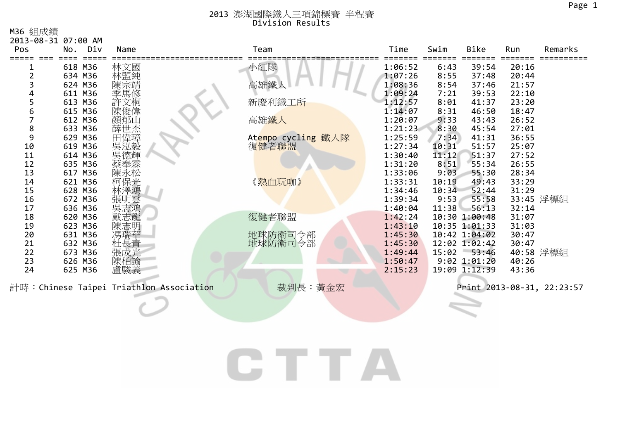M36 組成績

| 2013-08-31 07:00 AM |            |                                          |                    |         |       |                  |           |                            |
|---------------------|------------|------------------------------------------|--------------------|---------|-------|------------------|-----------|----------------------------|
| Pos                 | Div<br>No. | Name                                     | Team               | Time    | Swim  | Bike             | Run       | Remarks                    |
|                     | 618 M36    | 林文國                                      | 小紅隊                | 1:06:52 | 6:43  | 39:54            | 20:16     |                            |
|                     | 634 M36    | 林盟純                                      |                    | 1:07:26 | 8:55  | 37:48            | 20:44     |                            |
|                     | 624 M36    | 陳宗靖                                      | 高雄鐵                | 1:08:36 | 8:54  | 37:46            | 21:57     |                            |
|                     | 611 M36    | 季馬修                                      |                    | 1:09:24 | 7:21  | 39:53            | 22:10     |                            |
|                     | 613 M36    | 許文桐                                      | 新慶利鐵工所             | 1:12:57 | 8:01  | 41:37            | 23:20     |                            |
| 6                   | 615 M36    | 陳俊偉                                      |                    | 1:14:07 | 8:31  | 46:50            | 18:47     |                            |
|                     | 612 M36    | 顏郁山                                      | 高雄鐵人               | 1:20:07 | 9:33  | 43:43            | 26:52     |                            |
| 8                   | 633 M36    | 薛世杰<br>田偉璋                               |                    | 1:21:23 | 8:30  | 45:54            | 27:01     |                            |
| 9                   | 629 M36    |                                          | Atempo cycling 鐵人隊 | 1:25:59 | 7:34  | 41:31            | 36:55     |                            |
| 10                  | 619 M36    | 吳泓毅                                      | 復健者聯盟              | 1:27:34 | 10:31 | 51:57            | 25:07     |                            |
| 11                  | 614 M36    | 吳德輝                                      |                    | 1:30:40 | 11:12 | 51:37            | 27:52     |                            |
| 12                  | 635 M36    |                                          |                    | 1:31:20 | 8:51  | 55:34            | 26:55     |                            |
| 13                  | 617 M36    |                                          |                    | 1:33:06 | 9:03  | 55:30            | 28:34     |                            |
| 14                  | 621 M36    | 柯保光                                      | 《熱血玩咖》             | 1:33:31 | 10:19 | 49:43            | 33:29     |                            |
| 15                  | 628 M36    | 林澤鴻                                      |                    | 1:34:46 | 10:34 | 52:44            | 31:29     |                            |
| 16                  | 672 M36    | 張明雲                                      |                    | 1:39:34 | 9:53  | 55:58            |           | 33:45 浮標組                  |
| 17                  | 636 M36    | 吳志鴻                                      |                    | 1:40:04 | 11:38 | 56:13            | 32:14     |                            |
| 18                  | 620 M36    |                                          | 復健者聯盟              | 1:42:24 |       | 10:30 1:00:48    | 31:07     |                            |
| 19                  | 623 M36    |                                          |                    | 1:43:10 |       | 10:35 1:01:33    | 31:03     |                            |
| 20                  | 631 M36    |                                          | 地球防衛司令部            | 1:45:30 |       | 10:42 1:04:02    | 30:47     |                            |
| 21                  | 632 M36    | 杜長青                                      | 地球防衛司令部            | 1:45:30 |       | 12:02 1:02:42    | 30:47     |                            |
| 22                  | 673 M36    | 張成光                                      |                    | 1:49:44 |       | 15:02 53:46      | 40:58 浮標組 |                            |
| 23                  | 626 M36    | 陳柏諭                                      |                    | 1:50:47 |       | $9:02$ $1:01:20$ | 40:26     |                            |
| 24                  | 625 M36    | 盧駿義                                      |                    | 2:15:23 |       | 19:09 1:12:39    | 43:36     |                            |
|                     |            | 計時: Chinese Taipei Triathlon Association | 裁判長:黃金宏            |         |       |                  |           | Print 2013-08-31, 22:23:57 |
|                     |            |                                          |                    |         |       |                  |           |                            |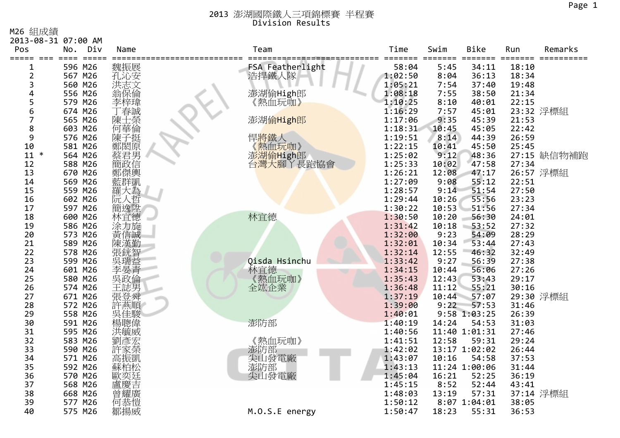M26 組成績

| Pos            | 2013-08-31 07:00 AM<br>Div<br>No. | Name       | Team             | Time               | Swim          | <b>Bike</b>    | Run            | Remarks     |
|----------------|-----------------------------------|------------|------------------|--------------------|---------------|----------------|----------------|-------------|
| =====<br>$===$ | $=$ $=$ $=$ $=$ $=$<br>$==$       |            |                  | $===$              | ===           |                |                |             |
| 1              | 596 M26                           | 魏振展        | FSA Featherlight | 58:04              | 5:45          | 34:11          | 18:10          |             |
| $\overline{2}$ | 567 M26                           | 孔沁安        | 浩捍鐵人隊            | 1:02:50            | 8:04          | 36:13          | 18:34          |             |
| 3              | 560 M26                           | 洪志文        |                  | 1:05:21            | 7:54          | 37:40          | 19:48          |             |
| 4              | 556 M26                           | 翁保倫        | 澎湖偷High郎         | 1:08:18            | 7:55          | 38:50          | 21:34          |             |
| 5              | 579 M26                           | 李梓瑋        | 《熱血玩咖》           | 1:10:25            | 8:10          | 40:01          | 22:15          |             |
| 6              | 674 M26                           | 「春誠        |                  | 1:16:29            | 7:57          | 45:01          |                | 23:32 浮標組   |
| 7              | 565 M26                           | 上榮<br>陳士   | 澎湖偷High郎         | 1:17:06            | 9:35          | 45:39          | 21:53          |             |
| 8              | 603 M26                           | 何華倫        |                  | 1:18:31            | 10:45         | 45:05          | 22:42          |             |
| 9              | 576 M26                           | 陳子挺<br>鄭閎原 | 悍將鐵人             | 1:19:51            | 8:14          | 44:39          | 26:59          |             |
| 10             | 581 M26                           |            | 《熱血玩咖》           | 1:22:15            | 10:41         | 45:50          | 25:45          |             |
| $11 *$         | 564 M26                           | 蔡君男        | 澎湖偷High郎         | 1:25:02            | 9:12          | 48:36          |                | 27:15 缺信物補跑 |
| 12             | 588 M26                           | 簡政信<br>鄭傑輿 | 台灣大腳丫長跑協會        | 1:25:33            | 10:02         | 47:58          | 27:34          |             |
| 13             | 670 M26                           |            |                  | 1:26:21            | 12:08         | 47:17          |                | 26:57 浮標組   |
| 14             | 569 M26                           | 藍群凱        |                  | 1:27:09            | 9:08          | 55:12          | 22:51          |             |
| 15             | 559 M26                           | 羅大為        |                  | 1:28:57            | 9:14          | 51:54          | 27:50          |             |
| 16             | 602 M26                           | 阮人哲        |                  | 1:29:44            | 10:26         | 55:56          | 23:23          |             |
| 17             | 597 M26                           | 簡逸陞        |                  | 1:30:22            | 10:53         | 51:56          | 27:34          |             |
| 18             | 600 M26                           | 林宜德        | 林宜德              | 1:30:50            | 10:20         | 56:30          | 24:01          |             |
| 19             | 586 M26<br>573 M26                | 涂力旋        |                  | 1:31:42<br>1:32:00 | 10:18<br>9:23 | 53:52<br>54:09 | 27:32<br>28:29 |             |
| 20<br>21       | 589 M26                           | 陳漢勤        |                  | 1:32:01            | 10:34         | 53:44          | 27:43          |             |
| 22             | 578 M26                           | 張銧智        |                  | 1:32:14            | 12:55         | 46:32          | 32:49          |             |
| 23             | 599 M26                           |            | Qisda Hsinchu    | 1:33:42            | 9:27          | 56:39          | 27:38          |             |
| 24             | 601 M26                           | ……<br>李·晏青 |                  | 1:34:15            | 10:44         | 56:06          | 27:26          |             |
| 25             | 580 M26                           | 吳政倫        | 林宜德<br>《熱血玩咖》    | 1:35:43            | 12:43         | 53:43          | 29:17          |             |
| 26             | 574 M26                           | 王誌男        | 全竑企業             | 1:36:48            | 11:12         | 55:21          | 30:16          |             |
| 27             | 671 M26                           | 張登舜        |                  | 1:37:19            | 10:44         | 57:07          |                | 29:30 浮標組   |
| 28             | 572 M26                           | 許燕順        |                  | 1:39:00            | 9:22          | 57:53          | 31:46          |             |
| 29             | 558 M26                           | 吳佳駿        |                  | 1:40:01            |               | 9:58 1:03:25   | 26:39          |             |
| 30             | 591 M26                           | 楊聰偉        | 澎防部              | 1:40:19            | 14:24         | 54:53          | 31:03          |             |
| 31             | 595 M26                           | 洪毓威        |                  | 1:40:56            |               | 11:40 1:01:31  | 27:46          |             |
| 32             | 583 M26                           | 劉彥宏        | 《熱血玩咖》           | 1:41:51            | 12:58         | 59:31          | 29:24          |             |
| 33             | 590 M26                           | 許家榮        | 澎防部              | 1:42:02            |               | 13:17 1:02:02  | 26:44          |             |
| 34             | 571 M26                           | 高振凱        | 尖山發電廠            | 1:43:07            | 10:16         | 54:58          | 37:53          |             |
| 35             | 592 M26                           | 蘇柏松        | 澎防部              | 1:43:13            |               | 11:24 1:00:06  | 31:44          |             |
| 36             | 570 M26                           | 歐奕廷        | 尖山發電廠            | 1:45:04            | 16:21         | 52:25          | 36:19          |             |
| 37             | 568 M26                           |            |                  | 1:45:15            | 8:52          | 52:44          | 43:41          |             |
| 38             | 668 M26                           |            |                  | 1:48:03            | 13:19         | 57:31          |                | 37:14 浮標組   |
| 39             | 577 M26                           | 何恭愷        |                  | 1:50:12            |               | 8:07 1:04:01   | 38:05          |             |
| 40             | 575 M26                           | 鄒揚威        | M.O.S.E energy   | 1:50:47            | 18:23         | 55:31          | 36:53          |             |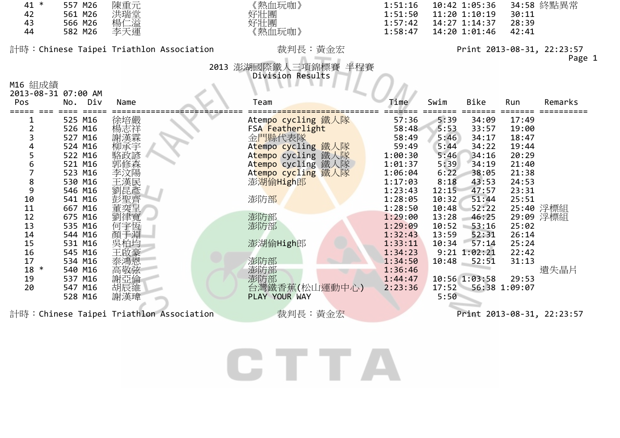| 41 * | 557 M26 | 陳重元 |
|------|---------|-----|
| 42   | 561 M26 | 洪瑞堂 |
| 43   | 566 M26 | 楊仁溢 |
| 44   | 582 M26 | 李天運 |



| $1$ *          | 557 M26 | 陳重元 | 〈熱血玩咖》 | 1:51:16 | 10:42 1:05:36  34:58 終點異常 |       |
|----------------|---------|-----|--------|---------|---------------------------|-------|
| $\overline{2}$ | 561 M26 | 洪瑞堂 | 好壯團    | 1:51:50 | 11:20 1:10:19             | 30:11 |
|                | 566 M26 | 楊仁溢 | 好壯團    | 1:57:42 | 14:27 1:14:37             | 28:39 |
|                | 582 M26 | 李天運 | "熱血玩咖》 | 1:58:47 | 14:20 1:01:46             | 42:41 |

計時:Chinese Taipei Triathlon Association 裁判長:黃金宏 Print <sup>2013</sup>‐08‐31, 22:23:57

### Page 1

2013 澎湖國際鐵人三項錦標賽 半程賽 Division Results

| M16 組成績             |            |      |                                          |                    |         |       |                  |               |                            |
|---------------------|------------|------|------------------------------------------|--------------------|---------|-------|------------------|---------------|----------------------------|
| 2013-08-31 07:00 AM |            |      |                                          |                    |         |       |                  |               |                            |
| Pos                 | Div<br>No. | Name |                                          | Team               | Time    | Swim  | Bike             | Run           | Remarks                    |
|                     |            |      |                                          |                    |         |       |                  |               |                            |
|                     | 525 M16    | 徐培嚴  |                                          | Atempo cycling 鐵人隊 | 57:36   | 5:39  | 34:09            | 17:49         |                            |
|                     | 526 M16    | 楊志祥  |                                          | FSA Featherlight   | 58:48   | 5:53  | 33:57            | 19:00         |                            |
| 3                   | 527 M16    | 謝漢霖  |                                          | 金門縣代表隊             | 58:49   | 5:46  | 34:17            | 18:47         |                            |
|                     | 524 M16    | 柳承宇  |                                          | Atempo cycling 鐵人隊 | 59:49   | 5:44  | 34:22            | 19:44         |                            |
|                     | 522 M16    | 駱政諺  |                                          | Atempo cycling 鐵人隊 | 1:00:30 | 5:46  | 34:16            | 20:29         |                            |
| 6                   | 521 M16    | 郭修森  |                                          | Atempo cycling 鐵人隊 | 1:01:37 | 5:39  | 34:19            | 21:40         |                            |
|                     | 523 M16    | 李汶陽  |                                          | Atempo cycling 鐵人隊 | 1:06:04 | 6:22  | 38:05            | 21:38         |                            |
| 8                   | 530 M16    | 王漢民  |                                          | 澎湖偷High郎           | 1:17:03 | 8:18  | 43:53            | 24:53         |                            |
| 9                   | 546 M16    | 劉昆彥  |                                          |                    | 1:23:43 | 12:15 | 47:57            | 23:31         |                            |
| 10                  | 541 M16    | 彭聖齊  |                                          | 澎防部                | 1:28:05 | 10:32 | 51:44            | 25:51         |                            |
| 11                  | 667 M16    | 奕呈   |                                          |                    | 1:28:50 | 10:48 | 52:22            |               | 25:40 浮標組                  |
| 12                  | 675 M16    | 劉律寬  |                                          | 澎防部                | 1:29:00 | 13:28 | 46:25            |               | 29:09 浮標組                  |
| 13                  | 535 M16    | 何宇恆  |                                          | 澎防部                | 1:29:09 | 10:52 | 53:16            | 25:02         |                            |
| 14                  | 544 M16    | 顏于淵  |                                          |                    | 1:32:43 | 13:59 | 52:31            | 26:14         |                            |
| 15                  | 531 M16    | 吳柏均  |                                          | 澎湖偷High郎           | 1:33:11 | 10:34 | 57:14            | 25:24         |                            |
| 16                  | 545 M16    | 王啟豪  |                                          |                    | 1:34:23 |       | $9:21$ $1:02:21$ | 22:42         |                            |
| 17                  | 534 M16    | 泰鴻恩  |                                          | 澎防部                | 1:34:50 | 10:48 | 52:51            | 31:13         |                            |
| 18 *                | 540 M16    | 高敬弦  |                                          | 澎防部                | 1:36:46 |       |                  |               | 遺失晶片                       |
| 19                  | 537 M16    | 謝亞倫  |                                          | 澎防部                | 1:44:47 |       | 10:56 1:03:58    | 29:53         |                            |
| 20                  | 547 M16    | 胡辰維  |                                          | 台灣鐵香蕉(松山運動中心)      | 2:23:36 | 17:52 |                  | 56:38 1:09:07 |                            |
|                     | 528 M16    | 謝漢瑋  |                                          | PLAY YOUR WAY      |         | 5:50  |                  |               |                            |
|                     |            |      | 計時: Chinese Taipei Triathlon Association | 裁判長:黃金宏            |         |       |                  |               | Print 2013-08-31, 22:23:57 |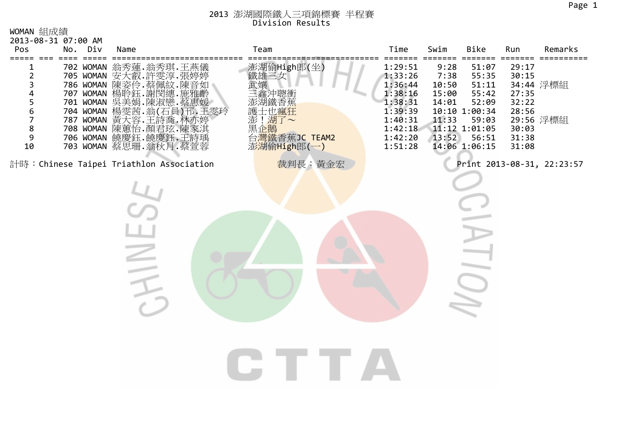WOMAN 組成績

| 2013-08-31 07:00 AM<br>Pos                                                         | No. | Div               | Name                                                                                                                                                                                                                            |     | Team                                                                                       | Time                                                                                                       | Swim                                                      | Bike                                                                                                           | Run                                                                  | Remarks                    |
|------------------------------------------------------------------------------------|-----|-------------------|---------------------------------------------------------------------------------------------------------------------------------------------------------------------------------------------------------------------------------|-----|--------------------------------------------------------------------------------------------|------------------------------------------------------------------------------------------------------------|-----------------------------------------------------------|----------------------------------------------------------------------------------------------------------------|----------------------------------------------------------------------|----------------------------|
| ===== === ====<br>$\overline{\mathbf{c}}$<br>3<br>4<br>5<br>6<br>7<br>8<br>9<br>10 |     | $==$<br>704 WOMAN | 702 WOMAN 翁秀蓮.翁秀琪.王燕儀<br>705 WOMAN 安大叡.許雯淳.張婷婷<br>786 WOMAN 陳姿伶.蔡佩紋.陳音如<br>707 WOMAN 楊聆鈺. 謝<br>701 WOMAN 吴美娟<br>楊雯茜 翁(石員)邗.<br>787 WOMAN 黃大容.王詩喬.林亦娉<br>708 WOMAN 陳蕙怡.顔君玹.陳家淇<br>706 WOMAN 饒慶鈺.饒慶鈺.王詩瑀<br>703 WOMAN 蔡思珊.翁秋月.蔡萱蓉 | 王零玲 | 澎湖偷High郎(坐)<br>鬣冲聰衝<br>士也瘋狂<br>!湖了~<br>黑企 <mark>鵝<br/>台灣</mark> 鐵香蕉JC TEAM2<br>澎湖偷High郎(一) | 1:29:51<br>1:33:26<br>1:36:44<br>1:38:16<br>1:38:31<br>1:39:39<br>1:40:31<br>1:42:18<br>1:42:20<br>1:51:28 | 9:28<br>7:38<br>10:50<br>15:00<br>14:01<br>11:33<br>13:52 | 51:07<br>55:35<br>51:11<br>55:42<br>52:09<br>10:10 1:00:34<br>59:03<br>11:12 1:01:05<br>56:51<br>14:06 1:06:15 | 29:17<br>30:15<br>27:35<br>32:22<br>28:56<br>30:03<br>31:38<br>31:08 | 34:44 浮標組<br>29:56 浮標組     |
|                                                                                    |     |                   | 計時: Chinese Taipei Triathlon Association                                                                                                                                                                                        |     | 裁判長:黃金宏                                                                                    |                                                                                                            |                                                           |                                                                                                                |                                                                      | Print 2013-08-31, 22:23:57 |
|                                                                                    |     |                   |                                                                                                                                                                                                                                 |     |                                                                                            |                                                                                                            |                                                           |                                                                                                                |                                                                      |                            |
|                                                                                    |     |                   |                                                                                                                                                                                                                                 |     |                                                                                            |                                                                                                            |                                                           |                                                                                                                |                                                                      |                            |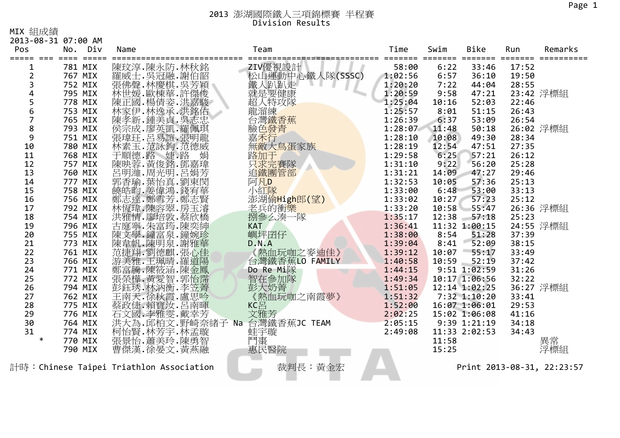MIX 組成績

| 2013-08-31 07:00 AM<br>Pos | No.                | Div             | Name                                                                                                                                                                                                                    | Team                                         | Time               | Swim         | Bike              | Run            | Remarks                    |
|----------------------------|--------------------|-----------------|-------------------------------------------------------------------------------------------------------------------------------------------------------------------------------------------------------------------------|----------------------------------------------|--------------------|--------------|-------------------|----------------|----------------------------|
|                            | 781 MIX            | $=$ $=$ $=$ $=$ |                                                                                                                                                                                                                         |                                              | 58:00              | 6:22         | ====<br>33:46     | 17:52          |                            |
| $\overline{2}$             | 767 MIX            |                 | 陳玟淳.陳永防.林秋銘                                                                                                                                                                                                             | ZIV優視設計<br>松山運動中心鐵人隊(SSSC)                   | 1:02:56            | 6:57         | 36:10             | 19:50          |                            |
| 3                          | 752 MIX            |                 |                                                                                                                                                                                                                         |                                              | 1:20:20            | 7:22         | 44:04             | 28:55          |                            |
| 4                          | 795 MIX            |                 |                                                                                                                                                                                                                         | 鐵人趴趴走                                        | 1:20:59            | 9:58         | 47:21             |                | 23:42 浮標組                  |
|                            |                    |                 |                                                                                                                                                                                                                         | 就是要健康                                        | 1:25:04            |              | 52:03             |                |                            |
| 5<br>$\boldsymbol{6}$      | 778 MIX            |                 |                                                                                                                                                                                                                         | 《超龍台》<br>《大海鐵發行士》<br>《大海灣 <u>後天文</u> 特練鐵發行士》 |                    | 10:16        |                   | 22:46          |                            |
| $\overline{7}$             | 753 MIX<br>765 MIX |                 |                                                                                                                                                                                                                         |                                              | 1:25:57<br>1:26:39 | 8:01<br>6:37 | 51:15<br>53:09    | 26:43          |                            |
|                            |                    |                 |                                                                                                                                                                                                                         |                                              |                    |              |                   | 26:54          |                            |
| 8<br>9                     | 793 MIX            |                 |                                                                                                                                                                                                                         |                                              | 1:28:07            | 11:48        | 50:18             |                | 26:02 浮標組                  |
|                            | 751 MIX            |                 |                                                                                                                                                                                                                         |                                              | 1:28:10            | 10:08        | 49:30             | 28:34<br>27:35 |                            |
| 10                         | 780 MIX            |                 |                                                                                                                                                                                                                         | 無敵大鳥蛋家族                                      | 1:28:19            | 12:54        | 47:51             |                |                            |
| 11                         | 768 MIX            |                 |                                                                                                                                                                                                                         | 路加于<br>只求完賽隊                                 | 1:29:58            | 6:25         | 57:21             | 26:12          |                            |
| 12                         | 757 MIX            |                 |                                                                                                                                                                                                                         |                                              | 1:31:10            | 9:22         | 56:20             | 25:28          |                            |
| 13                         | 760 MIX            |                 |                                                                                                                                                                                                                         | 追鐵團管部                                        | 1:31:21            | 14:09        | 47:27             | 29:46          |                            |
| 14                         | 777 MIX            |                 |                                                                                                                                                                                                                         | 阿凡D                                          | 1:32:53            | 10:05        | 57:36             | 25:13          |                            |
| 15                         | 758 MIX            |                 | KABI新編:「海遊院」、「海遊院」、「海遊院」、「海遊院」、「海遊院」、「海遊院」、「海遊院」、「海遊院」、「海遊院」、「海遊院」、「海遊院」、「海遊院」、「海遊院」、「海遊院」、「海遊院」、「海遊                                                                                                                    | 小紅隊                                          | 1:33:00            | 6:48         | 53:00             | 33:13          |                            |
| 16                         | 756 MIX            |                 |                                                                                                                                                                                                                         | 澎湖偷High郎(望)                                  | 1:33:02            | 10:27        | 57:23             | 25:12          |                            |
| 17                         | 792 MIX            |                 | 林恆瑋.陳容翠.房玉濬                                                                                                                                                                                                             | 老兵的衝樂                                        | 1:33:20            | 10:58        | 55:47             |                | 26:36 浮標組                  |
| 18                         | 754 MIX            |                 |                                                                                                                                                                                                                         | 捌參么湊一隊                                       | 1:35:17            | 12:38        | 57:18             | 25:23          |                            |
| 19                         | 796 MIX            |                 |                                                                                                                                                                                                                         | <b>KAT</b>                                   | 1:36:41            |              | 11:32 1:00:15     |                | 24:55 浮標組                  |
| 20                         | 755 MIX            |                 |                                                                                                                                                                                                                         | 嶼坪囝仔                                         | 1:38:00            | 8:54         | 51:28<br>52:09    | 37:39          |                            |
| 21                         | 773 MIX            |                 |                                                                                                                                                                                                                         | D.N.A                                        | 1:39:04            | 8:41         |                   | 38:15          |                            |
| 22                         | 761 MIX            |                 |                                                                                                                                                                                                                         | 《熱血玩咖之麥迪佳》                                   | 1:39:12            | 10:07        | $-55:17$<br>52:19 | 33:49          |                            |
| 23                         | 766 MIX<br>771 MIX |                 |                                                                                                                                                                                                                         | 台灣鐵香蕉LO FAMILY                               | 1:40:58<br>1:44:15 | 10:59        | $9:51$ $1:02:59$  | 37:42          |                            |
| 24                         |                    |                 |                                                                                                                                                                                                                         | Do Re Mi隊                                    |                    |              |                   | 31:26          |                            |
| 25                         | 772 MIX            |                 |                                                                                                                                                                                                                         | 智在参加隊                                        | 1:49:34            |              | 10:17 1:06:56     | 32:22          |                            |
| 26                         | 794 MIX            |                 | 林洪古陳陳慧,陳陳范游,張光之主,在《五次五十五年,我的天主要的天主要的天主要的天主要的,我在我生,我的生活,我的生活,我们的生活,我们的生活,我们的生活,就会有着,我们的生活,就会有着,我们的生活, 医心理学 化高速度 化高温度谱 电电流 医中毒芳香 化三甲苯基甲基甲基甲基甲基苯基 医心理节炎 医中毒芽芽瘤 人名德里奇 人名德里奇 人名德里奇 人名德里奇 人名德里奇 人名德里克 人名德里克 人名德里克 人名德里克 人名德里克 | 彭大奶菁                                         | 1:51:05            |              | 12:14 1:02:25     |                | 36:27 浮標組                  |
| 27                         | 762 MIX            |                 |                                                                                                                                                                                                                         | 《熱血玩咖之南霞夢》                                   | 1:51:32            |              | 7:32 1:10:20      | 33:41<br>29:53 |                            |
| 28                         | 775 MIX            |                 |                                                                                                                                                                                                                         | KCE<br>文雅芳                                   | 1:52:00            |              | 16:07 1:06:01     |                |                            |
| 29<br>30                   | 776 MIX            |                 |                                                                                                                                                                                                                         |                                              | 2:02:25            |              | 15:02 1:06:08     | 41:16          |                            |
| 31                         | 764 MIX            |                 | 洪大為.邱柏文.野崎奈緒子 Na                                                                                                                                                                                                        | 台灣鐵香蕉JC TEAM                                 | 2:05:15            |              | 9:39 1:21:19      | 34:18          |                            |
| $\ast$                     | 774 MIX            |                 | 柯怡賢.林芳宇.林孟璇                                                                                                                                                                                                             | 蛙宇璇                                          | 2:49:08            |              | 11:33 2:02:53     | 34:43          |                            |
|                            | 770 MIX            |                 | 張景怡.蕭美玲.陳勇智                                                                                                                                                                                                             | 鬥棗                                           |                    | 11:58        |                   |                | 異常                         |
|                            | 790 MIX            |                 | 曹傑漢.徐晏文.黃燕融                                                                                                                                                                                                             | 惠民醫院                                         |                    | 15:25        |                   |                | 浮標組                        |
|                            |                    |                 | 計時:Chinese Taipei Triathlon Association                                                                                                                                                                                 | 裁判長:黃金宏                                      |                    |              |                   |                | Print 2013-08-31, 22:23:57 |